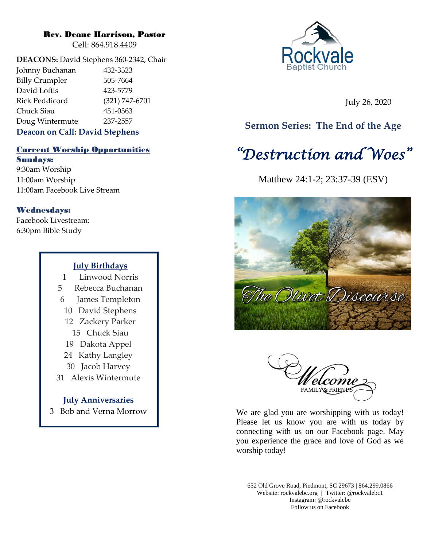## Rev. Deane Harrison, Pastor

Cell: 864.918.4409

**DEACONS:** David Stephens 360-2342, Chair Johnny Buchanan 432-3523 Billy Crumpler 505-7664 David Loftis 423-5779 Rick Peddicord (321) 747-6701 Chuck Siau 451-0563 Doug Wintermute 237-2557

# **Deacon on Call: David Stephens**

# Current Worship Opportunities Sundays:

9:30am Worship 11:00am Worship 11:00am Facebook Live Stream

# Wednesdays:

Facebook Livestream: 6:30pm Bible Study

# **July Birthdays**

- 1 Linwood Norris 5 Rebecca Buchanan
- 6 James Templeton
- 10 David Stephens
- 12 Zackery Parker
- 15 Chuck Siau
- 19 Dakota Appel
- 24 Kathy Langley
- 30 Jacob Harvey
- 31 Alexis Wintermute

**July Anniversaries** 3 Bob and Verna Morrow



July 26, 2020

# **Sermon Series: The End of the Age**

# *"Destruction and Woes"*

Matthew 24:1-2; 23:37-39 (ESV)





We are glad you are worshipping with us today! Please let us know you are with us today by connecting with us on our Facebook page. May you experience the grace and love of God as we worship today!

652 Old Grove Road, Piedmont, SC 29673 | 864.299.0866 Website: rockvalebc.org *|* Twitter: @rockvalebc1 Instagram: @rockvalebc Follow us on Facebook